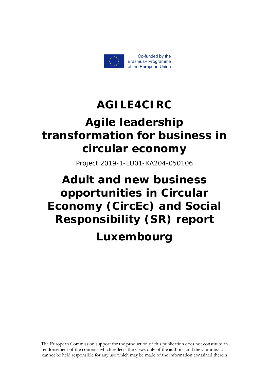

## **AGILE4CIRC**

# **Αgile leadership transformation for business in circular economy**

Project 2019-1-LU01-KA204-050106

# **Adult and new business opportunities in Circular Economy (CircEc) and Social Responsibility (SR) report Luxembourg**

The European Commission support for the production of this publication does not constitute an endorsement of the contents which reflects the views only of the authors, and the Commission cannot be held responsible for any use which may be made of the information contained therein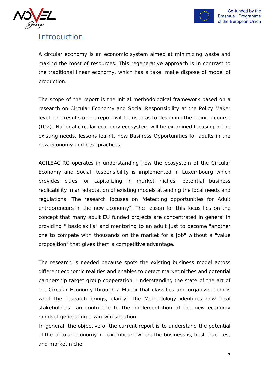



## Introduction

A circular economy is an economic system aimed at minimizing waste and making the most of resources. This regenerative approach is in contrast to the traditional linear economy, which has a take, make dispose of model of production.

The scope of the report is the initial methodological framework based on a research on Circular Economy and Social Responsibility at the Policy Maker level. The results of the report will be used as to designing the training course (IO2). National circular economy ecosystem will be examined focusing in the existing needs, lessons learnt, new Business Opportunities for adults in the new economy and best practices.

AGILE4CIRC operates in understanding how the ecosystem of the Circular Economy and Social Responsibility is implemented in Luxembourg which provides clues for capitalizing in market niches, potential business replicability in an adaptation of existing models attending the local needs and regulations. The research focuses on "detecting opportunities for Adult entrepreneurs in the new economy". The reason for this focus lies on the concept that many adult EU funded projects are concentrated in general in providing " basic skills" and mentoring to an adult just to become "another one to compete with thousands on the market for a job" without a "value proposition" that gives them a competitive advantage.

The research is needed because spots the existing business model across different economic realities and enables to detect market niches and potential partnership target group cooperation. Understanding the state of the art of the Circular Economy through a Matrix that classifies and organize them is what the research brings, clarity. The Methodology identifies how local stakeholders can contribute to the implementation of the new economy mindset generating a win-win situation.

In general, the objective of the current report is to understand the potential of the circular economy in Luxembourg where the business is, best practices, and market niche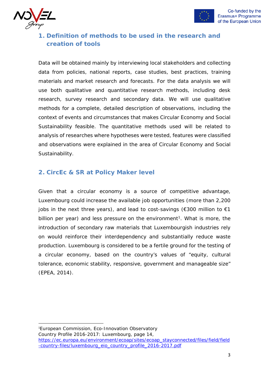



## **1. Definition of methods to be used in the research and creation of tools**

Data will be obtained mainly by interviewing local stakeholders and collecting data from policies, national reports, case studies, best practices, training materials and market research and forecasts. For the data analysis we will use both qualitative and quantitative research methods, including desk research, survey research and secondary data. We will use qualitative methods for a complete, detailed description of observations, including the context of events and circumstances that makes Circular Economy and Social Sustainability feasible. The quantitative methods used will be related to analysis of researches where hypotheses were tested, features were classified and observations were explained in the area of Circular Economy and Social Sustainability.

### **2. CircEc & SR at Policy Maker level**

Given that a circular economy is a source of competitive advantage, Luxembourg could increase the available job opportunities (more than 2,200 jobs in the next three years), and lead to cost-savings ( $\epsilon$ 300 million to  $\epsilon$ 1 billion per year) and less pressure on the environment<sup>[1](#page-2-0)</sup>. What is more, the introduction of secondary raw materials that Luxembourgish industries rely on would reinforce their interdependency and substantially reduce waste production. Luxembourg is considered to be a fertile ground for the testing of a circular economy, based on the country's values of "equity, cultural tolerance, economic stability, responsive, government and manageable size" (EPEA, 2014).

<span id="page-2-0"></span>1 European Commission, Eco-Innovation Observatory Country Profile 2016-2017: Luxembourg, page 14, [https://ec.europa.eu/environment/ecoap/sites/ecoap\\_stayconnected/files/field/field](https://ec.europa.eu/environment/ecoap/sites/ecoap_stayconnected/files/field/field-country-files/luxembourg_eio_country_profile_2016-2017.pdf) [-country-files/luxembourg\\_eio\\_country\\_profile\\_2016-2017.pdf](https://ec.europa.eu/environment/ecoap/sites/ecoap_stayconnected/files/field/field-country-files/luxembourg_eio_country_profile_2016-2017.pdf)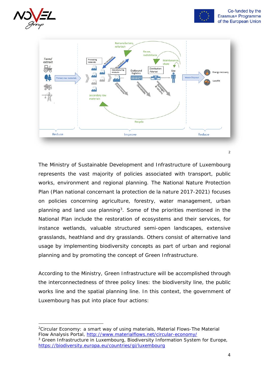





The Ministry of Sustainable Development and Infrastructure of Luxembourg represents the vast majority of policies associated with transport, public works, environment and regional planning. The National Nature Protection Plan (Plan national concernant la protection de la nature 2017-2021) focuses on policies concerning agriculture, forestry, water management, urban planning and land use planning<sup>3</sup>. Some of the priorities mentioned in the National Plan include the restoration of ecosystems and their services, for instance wetlands, valuable structured semi-open landscapes, extensive grasslands, heathland and dry grasslands. Others consist of alternative land usage by implementing biodiversity concepts as part of urban and regional planning and by promoting the concept of Green Infrastructure.

According to the Ministry, Green Infrastructure will be accomplished through the interconnectedness of three policy lines: the biodiversity line, the public works line and the spatial planning line. In this context, the government of Luxembourg has put into place four actions:

<span id="page-3-0"></span><sup>2</sup>Circular Economy: a smart way of using materials, Material Flows-The Material Flow Analysis Portal,<http://www.materialflows.net/circular-economy/>

<span id="page-3-1"></span><sup>&</sup>lt;sup>3</sup> Green Infrastructure in Luxembourg, Biodiversity Information System for Europe, <https://biodiversity.europa.eu/countries/gi/luxembourg>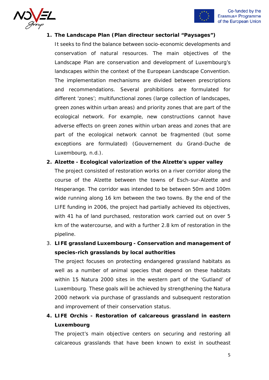



#### **1. The Landscape Plan (Plan directeur sectorial "Paysages")**

It seeks to find the balance between socio-economic developments and conservation of natural resources. The main objectives of the Landscape Plan are conservation and development of Luxembourg's landscapes within the context of the European Landscape Convention. The implementation mechanisms are divided between prescriptions and recommendations. Several prohibitions are formulated for different 'zones'; multifunctional zones (large collection of landscapes, green zones within urban areas) and priority zones that are part of the ecological network. For example, new constructions cannot have adverse effects on green zones within urban areas and zones that are part of the ecological network cannot be fragmented (but some exceptions are formulated) (Gouvernement du Grand-Duche de Luxembourg, n.d.).

#### **2. Alzette - Ecological valorization of the Alzette's upper valley**

The project consisted of restoration works on a river corridor along the course of the Alzette between the towns of Esch-sur-Alzette and Hesperange. The corridor was intended to be between 50m and 100m wide running along 16 km between the two towns. By the end of the LIFE funding in 2006, the project had partially achieved its objectives, with 41 ha of land purchased, restoration work carried out on over 5 km of the watercourse, and with a further 2.8 km of restoration in the pipeline.

3. **LIFE grassland Luxembourg - Conservation and management of species-rich grasslands by local authorities** 

The project focuses on protecting endangered grassland habitats as well as a number of animal species that depend on these habitats within 15 Natura 2000 sites in the western part of the 'Gutland' of Luxembourg. These goals will be achieved by strengthening the Natura 2000 network via purchase of grasslands and subsequent restoration and improvement of their conservation status.

**4. LIFE Orchis - Restoration of calcareous grassland in eastern Luxembourg** 

The project's main objective centers on securing and restoring all calcareous grasslands that have been known to exist in southeast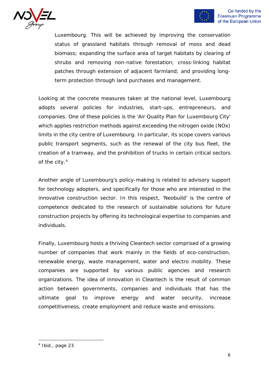



Luxembourg. This will be achieved by improving the conservation status of grassland habitats through removal of moss and dead biomass; expanding the surface area of target habitats by clearing of shrubs and removing non-native forestation; cross-linking habitat patches through extension of adjacent farmland; and providing longterm protection through land purchases and management.

Looking at the concrete measures taken at the national level, Luxembourg adopts several policies for industries, start-ups, entrepreneurs, and companies. One of these policies is the 'Air Quality Plan for Luxembourg City' which applies restriction methods against exceeding the nitrogen oxide (NOx) limits in the city centre of Luxembourg. In particular, its scope covers various public transport segments, such as the renewal of the city bus fleet, the creation of a tramway, and the prohibition of trucks in certain critical sectors of the city.<sup>[4](#page-5-0)</sup>

Another angle of Luxembourg's policy-making is related to advisory support for technology adopters, and specifically for those who are interested in the innovative construction sector. In this respect, 'Neobuild' is the centre of competence dedicated to the research of sustainable solutions for future construction projects by offering its technological expertise to companies and individuals.

Finally, Luxembourg hosts a thriving Cleantech sector comprised of a growing number of companies that work mainly in the fields of eco-construction, renewable energy, waste management, water and electro mobility. These companies are supported by various public agencies and research organizations. The idea of innovation in Cleantech is the result of common action between governments, companies and individuals that has the ultimate goal to improve energy and water security, increase competitiveness, create employment and reduce waste and emissions.

<span id="page-5-0"></span><sup>4</sup> Ibid., page 23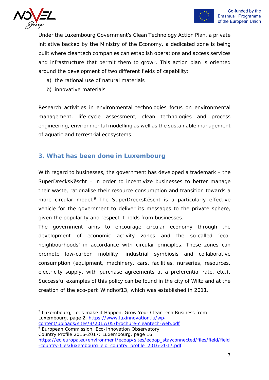

Under the Luxembourg Government's Clean Technology Action Plan, a private initiative backed by the Ministry of the Economy, a dedicated zone is being built where cleantech companies can establish operations and access services and infrastructure that permit them to grow<sup>5</sup>. This action plan is oriented around the development of two different fields of capability:

- a) the rational use of natural materials
- b) innovative materials

Research activities in environmental technologies focus on environmental management, life-cycle assessment, clean technologies and process engineering, environmental modelling as well as the sustainable management of aquatic and terrestrial ecosystems.

### **3. What has been done in Luxembourg**

With regard to businesses, the government has developed a trademark – the SuperDrecksKëscht – in order to incentivize businesses to better manage their waste, rationalise their resource consumption and transition towards a more circular model.<sup>[6](#page-6-1)</sup> The SuperDrecksKëscht is a particularly effective vehicle for the government to deliver its messages to the private sphere, given the popularity and respect it holds from businesses.

The government aims to encourage circular economy through the development of economic activity zones and the so-called 'econeighbourhoods' in accordance with circular principles. These zones can promote low-carbon mobility, industrial symbiosis and collaborative consumption (equipment, machinery, cars, facilities, nurseries, resources, electricity supply, with purchase agreements at a preferential rate, etc.). Successful examples of this policy can be found in the city of Wiltz and at the creation of the eco-park Windhof13, which was established in 2011.

<span id="page-6-0"></span><sup>&</sup>lt;sup>5</sup> Luxembourg, Let's make it Happen, Grow Your CleanTech Business from Luxembourg, page 2, [https://www.luxinnovation.lu/wp](https://www.luxinnovation.lu/wp-content/uploads/sites/3/2017/05/brochure-cleantech-web.pdf)[content/uploads/sites/3/2017/05/brochure-cleantech-web.pdf](https://www.luxinnovation.lu/wp-content/uploads/sites/3/2017/05/brochure-cleantech-web.pdf)

<span id="page-6-1"></span><sup>&</sup>lt;sup>6</sup> European Commission, Eco-Innovation Observatory

Country Profile 2016-2017: Luxembourg, page 16, [https://ec.europa.eu/environment/ecoap/sites/ecoap\\_stayconnected/files/field/field](https://ec.europa.eu/environment/ecoap/sites/ecoap_stayconnected/files/field/field-country-files/luxembourg_eio_country_profile_2016-2017.pdf) [-country-files/luxembourg\\_eio\\_country\\_profile\\_2016-2017.pdf](https://ec.europa.eu/environment/ecoap/sites/ecoap_stayconnected/files/field/field-country-files/luxembourg_eio_country_profile_2016-2017.pdf)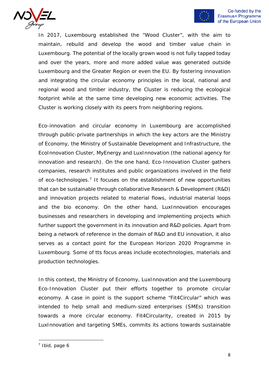



In 2017, Luxembourg established the "Wood Cluster", with the aim to maintain, rebuild and develop the wood and timber value chain in Luxembourg. The potential of the locally grown wood is not fully tapped today and over the years, more and more added value was generated outside Luxembourg and the Greater Region or even the EU. By fostering innovation and integrating the circular economy principles in the local, national and regional wood and timber industry, the Cluster is reducing the ecological footprint while at the same time developing new economic activities. The Cluster is working closely with its peers from neighboring regions.

Eco-innovation and circular economy in Luxembourg are accomplished through public-private partnerships in which the key actors are the Ministry of Economy, the Ministry of Sustainable Development and Infrastructure, the EcoInnovation Cluster, MyEnergy and LuxInnovation (the national agency for innovation and research). On the one hand, Eco-Innovation Cluster gathers companies, research institutes and public organizations involved in the field of eco-technologies[.7](#page-7-0) It focuses on the establishment of new opportunities that can be sustainable through collaborative Research & Development (R&D) and innovation projects related to material flows, industrial material loops and the bio economy. On the other hand, LuxInnovation encourages businesses and researchers in developing and implementing projects which further support the government in its innovation and R&D policies. Apart from being a network of reference in the domain of R&D and EU innovation, it also serves as a contact point for the European Horizon 2020 Programme in Luxembourg. Some of tts focus areas include ecotechnologies, materials and production technologies.

In this context, the Ministry of Economy, LuxInnovation and the Luxembourg Eco-Innovation Cluster put their efforts together to promote circular economy. A case in point is the support scheme "Fit4Circular" which was intended to help small and medium-sized enterprises (SMEs) transition towards a more circular economy. Fit4Circularity, created in 2015 by LuxInnovation and targeting SMEs, commits its actions towards sustainable

<span id="page-7-0"></span> $<sup>7</sup>$  Ibid, page 6</sup>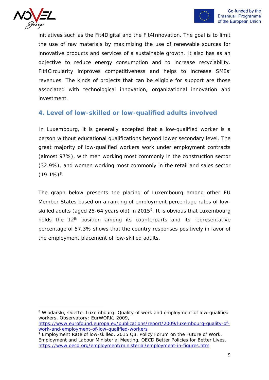



initiatives such as the Fit4Digital and the Fit4Innovation. The goal is to limit the use of raw materials by maximizing the use of renewable sources for innovative products and services of a sustainable growth. It also has as an objective to reduce energy consumption and to increase recyclability. Fit4Circularity improves competitiveness and helps to increase SMEs' revenues. The kinds of projects that can be eligible for support are those associated with technological innovation, organizational innovation and investment.

### **4. Level of low-skilled or low-qualified adults involved**

In Luxembourg, it is generally accepted that a low-qualified worker is a person without educational qualifications beyond lower secondary level. The great majority of low-qualified workers work under employment contracts (almost 97%), with men working most commonly in the construction sector (32.9%), and women working most commonly in the retail and sales sector  $(19.1\%)$ <sup>8</sup>.

The graph below presents the placing of Luxembourg among other EU Member States based on a ranking of employment percentage rates of low-skilled adults (aged 25-64 years old) in 2015<sup>[9](#page-8-1)</sup>. It is obvious that Luxembourg holds the  $12<sup>th</sup>$  position among its counterparts and its representative percentage of 57.3% shows that the country responses positively in favor of the employment placement of low-skilled adults.

<span id="page-8-0"></span><sup>&</sup>lt;sup>8</sup> Wlodarski, Odette. Luxembourg: Quality of work and employment of low-qualified workers, Observatory: EurWORK, 2009,

[https://www.eurofound.europa.eu/publications/report/2009/luxembourg-quality-of](https://www.eurofound.europa.eu/publications/report/2009/luxembourg-quality-of-work-and-employment-of-low-qualified-workers)[work-and-employment-of-low-qualified-workers](https://www.eurofound.europa.eu/publications/report/2009/luxembourg-quality-of-work-and-employment-of-low-qualified-workers)

<span id="page-8-1"></span><sup>9</sup> Employment Rate of low-skilled, 2015 Q3, Policy Forum on the Future of Work, Employment and Labour Ministerial Meeting, OECD Better Policies for Better Lives, <https://www.oecd.org/employment/ministerial/employment-in-figures.htm>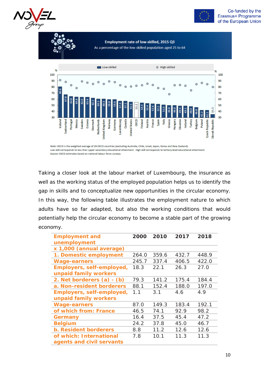



Employment rate of low-skilled, 2015 Q3 As a percentage of the low-skilled population aged 25 to 64



Note: OECD is the weighted average of 28 OECD countries (excluding Australia, Chile, Israel, Japan, Korea and New Zealand). Low skill corresponds to less than upper secondary educational attainment. High skill corresponds to tertiary level educational attainment. Source: OECD estimates based on national labour force surveys.

Taking a closer look at the labour market of Luxembourg, the insurance as well as the working status of the employed population helps us to identify the gap in skills and to conceptualize new opportunities in the circular economy. In this way, the following table illustrates the employment nature to which adults have so far adapted, but also the working conditions that would potentially help the circular economy to become a stable part of the growing economy.

| <b>Employment and</b>        | 2000  | 2010  | 2017  | 2018  |
|------------------------------|-------|-------|-------|-------|
| unemployment                 |       |       |       |       |
| x 1,000 (annual average)     |       |       |       |       |
| 1. Domestic employment       | 264.0 | 359.6 | 432.7 | 448.9 |
| <b>Wage-earners</b>          | 245.7 | 337.4 | 406.5 | 422.0 |
| Employers, self-employed,    | 18.3  | 22.1  | 26.3  | 27.0  |
| unpaid family workers        |       |       |       |       |
| 2. Net borderers (a) - (b)   | 79.3  | 141.2 | 175.4 | 184.4 |
| a. Non-resident borderers    | 88.1  | 152.4 | 188.0 | 197.0 |
| Employers, self-employed,    | 1.1   | 3.1   | 4.6   | 4.9   |
| unpaid family workers        |       |       |       |       |
| <b>Wage-earners</b>          | 87.0  | 149.3 | 183.4 | 192.1 |
| of which from: France        | 46.5  | 74.1  | 92.9  | 98.2  |
| Germany                      | 16.4  | 37.5  | 45.4  | 47.2  |
| <b>Belgium</b>               | 24.2  | 37.8  | 45.0  | 46.7  |
| <b>b. Resident borderers</b> | 8.8   | 11.2  | 12.6  | 12.6  |
| of which: International      | 7.8   | 10.1  | 11.3  | 11.3  |
| agents and civil servants    |       |       |       |       |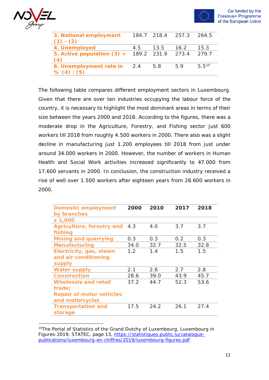



| 3. National employment<br>$(1) - (2)$                 |     | 184.7 218.4 257.3 |      | 264.5      |
|-------------------------------------------------------|-----|-------------------|------|------------|
| 4. Unemployed                                         | 4.5 | 13.5              | 16.2 | 15.3       |
| 5. Active population $(3) + 189.2$ 231.9 273.4<br>(4) |     |                   |      | 279.7      |
| 6. Unemployment rate in<br>% (4) : (5)                | 2.4 | 5.8               | 59   | $5.5^{10}$ |

The following table compares different employment sectors in Luxembourg. Given that there are over ten industries occupying the labour force of the country, it is necessary to highlight the most dominant areas in terms of their size between the years 2000 and 2018. According to the figures, there was a moderate drop in the Agriculture, Forestry, and Fishing sector just 600 workers till 2018 from roughly 4.500 workers in 2000. There also was a slight decline in manufacturing just 1.200 employees till 2018 from just under around 34.000 workers in 2000. However, the number of workers in Human Health and Social Work activities increased significantly to 47.000 from 17.600 servants in 2000. In conclusion, the construction industry received a rise of well over 1.500 workers after eighteen years from 28.600 workers in 2000.

| <b>Domestic employment</b>      | 2000 | 2010 | 2017 | 2018 |
|---------------------------------|------|------|------|------|
| by branches                     |      |      |      |      |
| x 1,000                         |      |      |      |      |
| Agriculture, forestry and       | 4.3  | 4.0  | 3.7  | 3.7  |
| fishing                         |      |      |      |      |
| <b>Mining and quarrying</b>     | 0.3  | 0.3  | 0.2  | 0.3  |
| <b>Manufacturing</b>            | 34.0 | 32.7 | 32.5 | 32.8 |
| Electricity, gas, steam         | 1.2  | 1.4  | 1.5  | 1.5  |
| and air conditioning            |      |      |      |      |
| supply                          |      |      |      |      |
| <b>Water supply</b>             | 2.1  | 2.6  | 2.7  | 2.8  |
| <b>Construction</b>             | 28.6 | 39.0 | 43.9 | 45.7 |
| <b>Wholesale and retail</b>     | 37.2 | 44.7 | 52.3 | 53.6 |
| trade;                          |      |      |      |      |
| <b>Repair of motor vehicles</b> |      |      |      |      |
| and motorcycles                 |      |      |      |      |
| <b>Transportation and</b>       | 17.5 | 24.2 | 26.1 | 27.4 |
| storage                         |      |      |      |      |

<span id="page-10-0"></span><sup>&</sup>lt;sup>10</sup>The Portal of Statistics of the Grand Dutchy of Luxembourg, Luxembourg in Figures-2019, STATEC, page 13, https://statistiques.public.lu/cataloque[publications/luxembourg-en-chiffres/2019/luxembourg-figures.pdf](https://statistiques.public.lu/catalogue-publications/luxembourg-en-chiffres/2019/luxembourg-figures.pdf)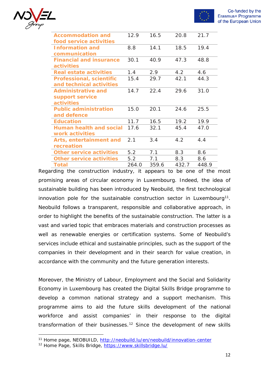

| Τ<br>υ |  |
|--------|--|
|        |  |

| <b>Accommodation and</b>        | 12.9  | 16.5  | 20.8  | 21.7  |
|---------------------------------|-------|-------|-------|-------|
| food service activities         |       |       |       |       |
| <b>Information and</b>          | 8.8   | 14.1  | 18.5  | 19.4  |
| communication                   |       |       |       |       |
| <b>Financial and insurance</b>  | 30.1  | 40.9  | 47.3  | 48.8  |
| activities                      |       |       |       |       |
| <b>Real estate activities</b>   | 1.4   | 2.9   | 4.2   | 4.6   |
| <b>Professional, scientific</b> | 15.4  | 29.7  | 42.1  | 44.3  |
| and technical activities        |       |       |       |       |
| <b>Administrative and</b>       | 14.7  | 22.4  | 29.6  | 31.0  |
| support service                 |       |       |       |       |
| <b>activities</b>               |       |       |       |       |
| <b>Public administration</b>    | 15.0  | 20.1  | 24.6  | 25.5  |
| and defence                     |       |       |       |       |
| <b>Education</b>                | 11.7  | 16.5  | 19.2  | 19.9  |
| <b>Human health and social</b>  | 17.6  | 32.1  | 45.4  | 47.0  |
| work activities                 |       |       |       |       |
| Arts, entertainment and         | 2.1   | 3.4   | 4.2   | 4.4   |
| recreation                      |       |       |       |       |
| <b>Other service activities</b> | 5.2   | 7.1   | 8.3   | 8.6   |
| <b>Other service activities</b> | 5.2   | 7.1   | 8.3   | 8.6   |
| <b>Total</b>                    | 264.0 | 359.6 | 432.7 | 448.9 |

Regarding the construction industry, it appears to be one of the most promising areas of circular economy in Luxembourg. Indeed, the idea of sustainable building has been introduced by Neobuild, the first technological innovation pole for the sustainable construction sector in Luxembourg<sup>11</sup>. Neobuild follows a transparent, responsible and collaborative approach, in order to highlight the benefits of the sustainable construction. The latter is a vast and varied topic that embraces materials and construction processes as well as renewable energies or certification systems. Some of Neobuild's services include ethical and sustainable principles, such as the support of the companies in their development and in their search for value creation, in accordance with the community and the future generation interests.

Moreover, the Ministry of Labour, Employment and the Social and Solidarity Economy in Luxembourg has created the Digital Skills Bridge programme to develop a common national strategy and a support mechanism. This programme aims to aid the future skills development of the national workforce and assist companies' in their response to the digital transformation of their businesses.<sup>[12](#page-11-1)</sup> Since the development of new skills

<span id="page-11-0"></span><sup>&</sup>lt;sup>11</sup> Home page, NEOBUILD,<http://neobuild.lu/en/neobuild/innovation-center>

<span id="page-11-1"></span><sup>12</sup> Home Page, Skills Bridge,<https://www.skillsbridge.lu/>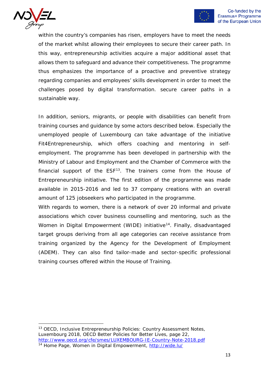



within the country's companies has risen, employers have to meet the needs of the market whilst allowing their employees to secure their career path. In this way, entrepreneurship activities acquire a major additional asset that allows them to safeguard and advance their competitiveness. The programme thus emphasizes the importance of a proactive and preventive strategy regarding companies and employees' skills development in order to meet the challenges posed by digital transformation. secure career paths in a sustainable way.

In addition, seniors, migrants, or people with disabilities can benefit from training courses and guidance by some actors described below. Especially the unemployed people of Luxembourg can take advantage of the initiative Fit4Entrepreneurship, which offers coaching and mentoring in selfemployment. The programme has been developed in partnership with the Ministry of Labour and Employment and the Chamber of Commerce with the financial support of the  $ESF<sup>13</sup>$ . The trainers come from the House of Entrepreneurship initiative. The first edition of the programme was made available in 2015-2016 and led to 37 company creations with an overall amount of 125 jobseekers who participated in the programme.

With regards to women, there is a network of over 20 informal and private associations which cover business counselling and mentoring, such as the Women in Digital Empowerment (WIDE) initiative<sup>[14](#page-12-1)</sup>. Finally, disadvantaged target groups deriving from all age categories can receive assistance from training organized by the Agency for the Development of Employment (ADEM). They can also find tailor-made and sector-specific professional training courses offered within the House of Training.

<span id="page-12-1"></span><span id="page-12-0"></span><sup>&</sup>lt;sup>13</sup> OECD, Inclusive Entrepreneurship Policies: Country Assessment Notes, Luxembourg 2018, OECD Better Policies for Better Lives, page 22, <http://www.oecd.org/cfe/smes/LUXEMBOURG-IE-Country-Note-2018.pdf> <sup>14</sup> Home Page, Women in Digital Empowerment, <http://wide.lu/>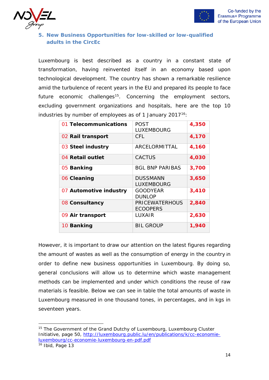



#### **5. New Business Opportunities for low-skilled or low-qualified adults in the CircEc**

Luxembourg is best described as a country in a constant state of transformation, having reinvented itself in an economy based upon technological development. The country has shown a remarkable resilience amid the turbulence of recent years in the EU and prepared its people to face future economic challenges<sup>[15](#page-13-0)</sup>. Concerning the employment sectors, excluding government organizations and hospitals, here are the top 10 industries by number of employees as of 1 January 2017<sup>[16](#page-13-1)</sup>:

| 01 Telecommunications  | <b>POST</b><br><b>LUXEMBOURG</b>         | 4,350 |
|------------------------|------------------------------------------|-------|
| 02 Rail transport      | CFL.                                     | 4,170 |
| 03 Steel industry      | ARCELORMITTAL                            | 4,160 |
| 04 Retail outlet       | <b>CACTUS</b>                            | 4,030 |
| 05 Banking             | <b>BGL BNP PARIBAS</b>                   | 3,700 |
| 06 Cleaning            | <b>DUSSMANN</b><br>LUXEMBOURG            | 3,650 |
| 07 Automotive industry | <b>GOODYEAR</b><br><b>DUNLOP</b>         | 3,410 |
| 08 Consultancy         | <b>PRICEWATERHOUS</b><br><b>ECOOPERS</b> | 2,840 |
| 09 Air transport       | LUXAIR                                   | 2,630 |
| 10 Banking             | <b>BIL GROUP</b>                         | 1,940 |

However, it is important to draw our attention on the latest figures regarding the amount of wastes as well as the consumption of energy in the country in order to define new business opportunities in Luxembourg. By doing so, general conclusions will allow us to determine which waste management methods can be implemented and under which conditions the reuse of raw materials is feasible. Below we can see in table the total amounts of waste in Luxembourg measured in one thousand tones, in percentages, and in kgs in seventeen years.

<span id="page-13-1"></span><span id="page-13-0"></span><sup>&</sup>lt;sup>15</sup> The Government of the Grand Dutchy of Luxembourg, Luxembourg Cluster Initiative, page 50, [http://luxembourg.public.lu/en/publications/k/cc-economie](http://luxembourg.public.lu/en/publications/k/cc-economie-luxembourg/cc-economie-luxembourg-en-pdf.pdf)[luxembourg/cc-economie-luxembourg-en-pdf.pdf](http://luxembourg.public.lu/en/publications/k/cc-economie-luxembourg/cc-economie-luxembourg-en-pdf.pdf)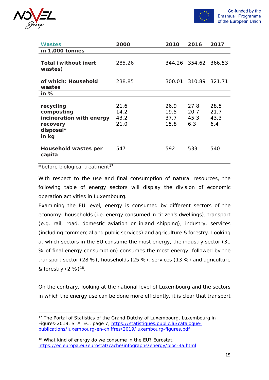



| Wastes                                 | 2000   | 2010   | 2016          | 2017   |
|----------------------------------------|--------|--------|---------------|--------|
| in 1,000 tonnes                        |        |        |               |        |
| <b>Total (without inert</b><br>wastes) | 285.26 |        | 344.26 354.62 | 366.53 |
| of which: Household<br>wastes          | 238.85 | 300.01 | 310.89        | 321.71 |
| in $%$                                 |        |        |               |        |
|                                        |        |        |               |        |
| recycling                              | 21.6   | 26.9   | 27.8          | 28.5   |
| composting                             | 14.2   | 19.5   | 20.7          | 21.7   |
| incineration with energy               | 43.2   | 37.7   | 45.3          | 43.3   |
| recovery<br>disposal*                  | 21.0   | 15.8   | 6.3           | 6.4    |
| in kg                                  |        |        |               |        |
| Household wastes per<br>capita         | 547    | 592    | 533           | 540    |

#### \*before biological treatment<sup>[17](#page-14-0)</sup>

With respect to the use and final consumption of natural resources, the following table of energy sectors will display the division of economic operation activities in Luxembourg.

Examining the EU level, energy is consumed by different sectors of the economy: households (i.e. energy consumed in citizen's dwellings), transport (e.g. rail, road, domestic aviation or inland shipping), industry, services (including commercial and public services) and agriculture & forestry. Looking at which sectors in the EU consume the most energy, the industry sector (31 % of final energy consumption) consumes the most energy, followed by the transport sector (28 %), households (25 %), services (13 %) and agriculture & forestry  $(2 \%)^{18}$  $(2 \%)^{18}$  $(2 \%)^{18}$ .

On the contrary, looking at the national level of Luxembourg and the sectors in which the energy use can be done more efficiently, it is clear that transport

<span id="page-14-0"></span><sup>&</sup>lt;sup>17</sup> The Portal of Statistics of the Grand Dutchy of Luxembourg, Luxembourg in Figures-2019, STATEC, page 7, [https://statistiques.public.lu/catalogue](https://statistiques.public.lu/catalogue-publications/luxembourg-en-chiffres/2019/luxembourg-figures.pdf)[publications/luxembourg-en-chiffres/2019/luxembourg-figures.pdf](https://statistiques.public.lu/catalogue-publications/luxembourg-en-chiffres/2019/luxembourg-figures.pdf)

<span id="page-14-1"></span><sup>&</sup>lt;sup>18</sup> What kind of energy do we consume in the EU? Eurostat, <https://ec.europa.eu/eurostat/cache/infographs/energy/bloc-3a.html>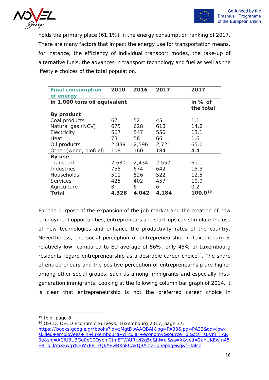



holds the primary place (61.1%) in the energy consumption ranking of 2017. There are many factors that impact the energy use for transportation means, for instance, the efficiency of individual transport modes, the take-up of alternative fuels, the advances in transport technology and fuel as well as the lifestyle choices of the total population.

| <b>Final consumption</b>     | 2010  | 2016  | 2017  | 2017      |
|------------------------------|-------|-------|-------|-----------|
| of energy                    |       |       |       |           |
| in 1,000 tons oil equivalent |       |       |       | in % of   |
|                              |       |       |       | the total |
| By product                   |       |       |       |           |
| Coal products                | 67    | 52    | 45    | 1.1       |
| Natural gas (NCV)            | 675   | 628   | 618   | 14.8      |
| Electricity                  | 567   | 547   | 550   | 13.1      |
| Heat                         | 73    | 58    | 66    | 1.6       |
| Oil products                 | 2,839 | 2,596 | 2,721 | 65.0      |
| Other (wood, biofuel)        | 108   | 160   | 184   | 4.4       |
| By use                       |       |       |       |           |
| Transport                    | 2,630 | 2,434 | 2,557 | 61.1      |
| Industries                   | 755   | 674   | 642   | 15.3      |
| Households                   | 511   | 526   | 522   | 12.5      |
| <b>Services</b>              | 425   | 402   | 457   | 10.9      |
| Agriculture                  | 8     | 6     | 6     | 0.2       |
| <b>Total</b>                 | 4,328 | 4,042 | 4,184 | 100.019   |

For the purpose of the expansion of the job market and the creation of new employment opportunities, entrepreneurs and start-ups can stimulate the use of new technologies and enhance the productivity rates of the country. Nevertheless, the social perception of entrepreneurship in Luxembourg is relatively low: compared to EU average of 56%, only 45% of Luxembourg residents regard entrepreneurship as a desirable career choice<sup>20</sup>. The share of entrepreneurs and the positive perception of entrepreneurhsip are higher among other social groups, such as among immigrants and especially firstgeneration immigrants. Looking at the following column bar graph of 2014, it is clear that entrepreneurship is not the preferred career choice in

<span id="page-15-0"></span><sup>19</sup> Ibid, page 8

<span id="page-15-1"></span><sup>&</sup>lt;sup>20</sup> OECD, OECD Economic Surveys: Luxembourg 2017, page 37, [https://books.google.gr/books?id=zMgtDwAAQBAJ&pg=PA33&lpg=PA33&dq=low](https://books.google.gr/books?id=zMgtDwAAQBAJ&pg=PA33&lpg=PA33&dq=low-skilled+employees+in+luxembourg+circular+economy&source=bl&ots=sBVm_FAR0e&sig=ACfU3U3Gq0eC0OyphlCjmETWAfRtvi2g5g&hl=el&sa=X&ved=2ahUKEwjn45H4_qLlAhXFwqYKHW7FBTkQ6AEwBXoECAkQBA#v=onepage&q&f=false)[skilled+employees+in+luxembourg+circular+economy&source=bl&ots=sBVm\\_FAR](https://books.google.gr/books?id=zMgtDwAAQBAJ&pg=PA33&lpg=PA33&dq=low-skilled+employees+in+luxembourg+circular+economy&source=bl&ots=sBVm_FAR0e&sig=ACfU3U3Gq0eC0OyphlCjmETWAfRtvi2g5g&hl=el&sa=X&ved=2ahUKEwjn45H4_qLlAhXFwqYKHW7FBTkQ6AEwBXoECAkQBA#v=onepage&q&f=false) [0e&sig=ACfU3U3Gq0eC0OyphlCjmETWAfRtvi2g5g&hl=el&sa=X&ved=2ahUKEwjn45](https://books.google.gr/books?id=zMgtDwAAQBAJ&pg=PA33&lpg=PA33&dq=low-skilled+employees+in+luxembourg+circular+economy&source=bl&ots=sBVm_FAR0e&sig=ACfU3U3Gq0eC0OyphlCjmETWAfRtvi2g5g&hl=el&sa=X&ved=2ahUKEwjn45H4_qLlAhXFwqYKHW7FBTkQ6AEwBXoECAkQBA#v=onepage&q&f=false) [H4\\_qLlAhXFwqYKHW7FBTkQ6AEwBXoECAkQBA#v=onepage&q&f=false](https://books.google.gr/books?id=zMgtDwAAQBAJ&pg=PA33&lpg=PA33&dq=low-skilled+employees+in+luxembourg+circular+economy&source=bl&ots=sBVm_FAR0e&sig=ACfU3U3Gq0eC0OyphlCjmETWAfRtvi2g5g&hl=el&sa=X&ved=2ahUKEwjn45H4_qLlAhXFwqYKHW7FBTkQ6AEwBXoECAkQBA#v=onepage&q&f=false)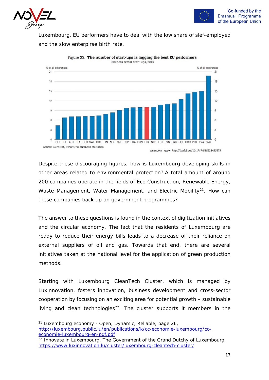



Luxembourg. EU performers have to deal with the low share of slef-employed and the slow enterpirse birth rate.



Figure 23. The number of start-ups is lagging the best EU performers Business sector start-ups, 2014

StatLink man http://dx.doi.org/10.1787/888933495979

Despite these discouraging figures, how is Luxembourg developing skills in other areas related to environmental protection? A total amount of around 200 companies operate in the fields of Eco Construction, Renewable Energy, Waste Management, Water Management, and Electric Mobility<sup>[21](#page-16-0)</sup>. How can these companies back up on government programmes?

The answer to these questions is found in the context of digitization initiatives and the circular economy. The fact that the residents of Luxembourg are ready to reduce their energy bills leads to a decrease of their reliance on external suppliers of oil and gas. Towards that end, there are several initiatives taken at the national level for the application of green production methods.

Starting with Luxembourg CleanTech Cluster, which is managed by Luxinnovation, fosters innovation, business development and cross-sector cooperation by focusing on an exciting area for potential growth – sustainable living and clean technologies<sup>22</sup>. The cluster supports it members in the

<span id="page-16-0"></span><sup>21</sup> Luxembourg economy - Open, Dynamic, Reliable, page 26, [http://luxembourg.public.lu/en/publications/k/cc-economie-luxembourg/cc](http://luxembourg.public.lu/en/publications/k/cc-economie-luxembourg/cc-economie-luxembourg-en-pdf.pdf)[economie-luxembourg-en-pdf.pdf](http://luxembourg.public.lu/en/publications/k/cc-economie-luxembourg/cc-economie-luxembourg-en-pdf.pdf)

<span id="page-16-1"></span> $22$  Innovate in Luxembourg, The Government of the Grand Dutchy of Luxembourg, <https://www.luxinnovation.lu/cluster/luxembourg-cleantech-cluster/>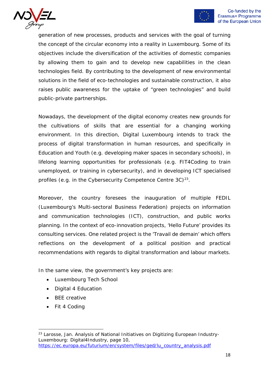



generation of new processes, products and services with the goal of turning the concept of the circular economy into a reality in Luxembourg. Some of its objectives include the diversification of the activities of domestic companies by allowing them to gain and to develop new capabilities in the clean technologies field. By contributing to the development of new environmental solutions in the field of eco-technologies and sustainable construction, it also raises public awareness for the uptake of "green technologies" and build public-private partnerships.

Nowadays, the development of the digital economy creates new grounds for the cultivations of skills that are essential for a changing working environment. In this direction, Digital Luxembourg intends to track the process of digital transformation in human resources, and specifically in Education and Youth (e.g. developing maker spaces in secondary schools), in lifelong learning opportunities for professionals (e.g. FIT4Coding to train unemployed, or training in cybersecurity), and in developing ICT specialised profiles (e.g. in the Cybersecurity Competence Centre  $3C$ )<sup>[23](#page-17-0)</sup>.

Moreover, the country foresees the inauguration of multiple FEDIL (Luxembourg's Multi-sectoral Business Federation) projects on information and communication technologies (ICT), construction, and public works planning. In the context of eco-innovation projects, 'Hello Future' provides its consulting services. One related project is the 'Travail de demain' which offers reflections on the development of a political position and practical recommendations with regards to digital transformation and labour markets.

In the same view, the government's key projects are:

- Luxembourg Tech School
- Digital 4 Education
- BEE creative
- Fit 4 Coding

<span id="page-17-0"></span><sup>&</sup>lt;sup>23</sup> Larosse, Jan. Analysis of National Initiatives on Digitizing European Industry-Luxembourg: Digital4Industry, page 10, [https://ec.europa.eu/futurium/en/system/files/ged/lu\\_country\\_analysis.pdf](https://ec.europa.eu/futurium/en/system/files/ged/lu_country_analysis.pdf)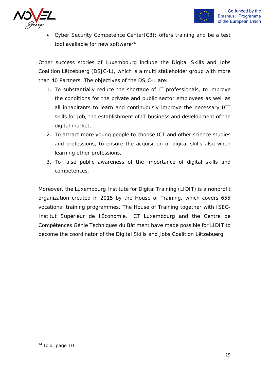



• Cyber Security Competence Center(C3): offers training and be a test tool available for new software<sup>[24](#page-18-0)</sup>

Other success stories of Luxembourg include the Digital Skills and Jobs Coalition Lëtzebuerg (DSJC-L), which is a multi stakeholder group with more than 40 Partners. The objectives of the DSJC-L are:

- 1. To substantially reduce the shortage of IT professionals, to improve the conditions for the private and public sector employees as well as all inhabitants to learn and continuously improve the necessary ICT skills for job, the establishment of IT business and development of the digital market,
- 2. To attract more young people to choose ICT and other science studies and professions, to ensure the acquisition of digital skills also when learning other professions,
- 3. To raise public awareness of the importance of digital skills and competences.

Moreover, the Luxembourg Institute for Digital Training (LIDIT) is a nonprofit organization created in 2015 by the House of Training, which covers 655 vocational training programmes. The House of Training together with ISEC-Institut Supérieur de l'Économie, ICT Luxembourg and the Centre de Compétences Génie Techniques du Bâtiment have made possible for LIDIT to become the coordinator of the Digital Skills and Jobs Coalition Lëtzebuerg.

<span id="page-18-0"></span><sup>24</sup> Ibid, page 10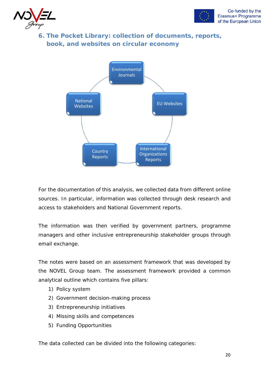



**6. The Pocket Library: collection of documents, reports, book, and websites on circular economy**



For the documentation of this analysis, we collected data from different online sources. In particular, information was collected through desk research and access to stakeholders and National Government reports.

The information was then verified by government partners, programme managers and other inclusive entrepreneurship stakeholder groups through email exchange.

The notes were based on an assessment framework that was developed by the NOVEL Group team. The assessment framework provided a common analytical outline which contains five pillars:

- 1) Policy system
- 2) Government decision-making process
- 3) Entrepreneurship initiatives
- 4) Missing skills and competences
- 5) Funding Opportunities

The data collected can be divided into the following categories: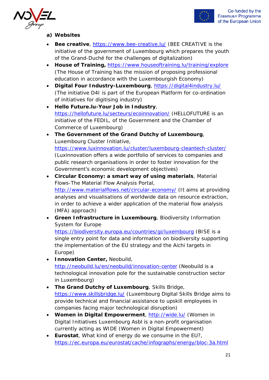



#### **a) Websites**

- **Bee creative**,<https://www.bee-creative.lu/> (BEE CREATIVE is the initiative of the government of Luxembourg which prepares the youth of the Grand-Duché for the challenges of digitalization)
- **House of Training,** <https://www.houseoftraining.lu/training/explore> (The House of Training has the mission of proposing professional education in accordance with the Luxembourgish Economy)
- **Digital Four Industry-Luxembourg**,<https://digital4industry.lu/> (The initiative D4I is part of the European Platform for co-ordination of initiatives for digitising industry)
- **Hello Future.lu-Your Job in Industry**, <https://hellofuture.lu/secteurs/ecoinnovation/> (HELLOFUTURE is an initiative of the FEDIL, of the Government and the Chamber of Commerce of Luxembourg)
- **The Government of the Grand Dutchy of Luxembourg**, Luxembourg Cluster Initiative, <https://www.luxinnovation.lu/cluster/luxembourg-cleantech-cluster/>

(Luxinnovation offers a wide portfolio of services to companies and public research organisations in order to foster innovation for the Government's economic development objectives)

- **Circular Economy: a smart way of using materials**, Material Flows-The Material Flow Analysis Portal, <http://www.materialflows.net/circular-economy/> (It aims at providing analyses and visualisations of worldwide data on resource extraction, in order to achieve a wider application of the material flow analysis (MFA) approach)
- **Green Infrastructure in Luxembourg**, Biodiversity Information System for Europe

<https://biodiversity.europa.eu/countries/gi/luxembourg> (BISE is a single entry point for data and information on biodiversity supporting the implementation of the EU strategy and the Aichi targets in Europe)

- **Innovation Center,** Neobuild, <http://neobuild.lu/en/neobuild/innovation-center> (Neobuild is a technological innovation pole for the sustainable construction sector in Luxembourg)
- **The Grand Dutchy of Luxembourg**, Skills Bridge, <https://www.skillsbridge.lu/> (Luxembourg Digital Skills Bridge aims to provide technical and financial assistance to upskill employees in companies facing major technological disruption)
- **Women in Digital Empowerment**,<http://wide.lu/> (Women in Digital Initiatives Luxembourg Asbl is a non-profit organisation currently acting as WIDE (Women in Digital Empowerment)
- **Eurostat**, What kind of energy do we consume in the EU?, <https://ec.europa.eu/eurostat/cache/infographs/energy/bloc-3a.html>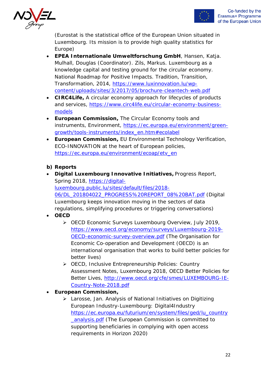



(Eurostat is the statistical office of the European Union situated in Luxembourg. Its mission is to provide high quality statistics for Europe)

- **EPEA Internationale Umweltforschung GmbH**, Hansen, Katja. Mulhall, Douglas (Coordinator). Zils, Markus. Luxembourg as a knowledge capital and testing ground for the circular economy. National Roadmap for Positive Impacts. Tradition, Transition, Transformation, 2014, [https://www.luxinnovation.lu/wp](https://www.luxinnovation.lu/wp-content/uploads/sites/3/2017/05/brochure-cleantech-web.pdf)[content/uploads/sites/3/2017/05/brochure-cleantech-web.pdf](https://www.luxinnovation.lu/wp-content/uploads/sites/3/2017/05/brochure-cleantech-web.pdf)
- **CIRC4Life,** A circular economy approach for lifecycles of products and services, [https://www.circ4life.eu/circular-economy-business](https://www.circ4life.eu/circular-economy-business-models)[models](https://www.circ4life.eu/circular-economy-business-models)
- **European Commission,** The Circular Economy tools and instruments, Environment, [https://ec.europa.eu/environment/green](https://ec.europa.eu/environment/green-growth/tools-instruments/index_en.htm#ecolabel)[growth/tools-instruments/index\\_en.htm#ecolabel](https://ec.europa.eu/environment/green-growth/tools-instruments/index_en.htm#ecolabel)
- **European Commission,** EU Environmental Technology Verification, ECO-INNOVATION at the heart of European policies, [https://ec.europa.eu/environment/ecoap/etv\\_en](https://ec.europa.eu/environment/ecoap/etv_en)

#### **b) Reports**

- **Digital Luxembourg Innovative Initiatives,** Progress Report, Spring 2018, [https://digital](https://digital-luxembourg.public.lu/sites/default/files/2018-06/DL_201804022_PROGRESS%20REPORT_08%20BAT.pdf)[luxembourg.public.lu/sites/default/files/2018-](https://digital-luxembourg.public.lu/sites/default/files/2018-06/DL_201804022_PROGRESS%20REPORT_08%20BAT.pdf) [06/DL\\_201804022\\_PROGRESS%20REPORT\\_08%20BAT.pdf](https://digital-luxembourg.public.lu/sites/default/files/2018-06/DL_201804022_PROGRESS%20REPORT_08%20BAT.pdf) (Digital Luxembourg keeps innovation moving in the sectors of data regulations, simplifying procedures or triggering conversations)
- **OECD**
	- ▶ OECD Economic Surveys Luxembourg Overview, July 2019, [https://www.oecd.org/economy/surveys/Luxembourg-2019-](https://www.oecd.org/economy/surveys/Luxembourg-2019-OECD-economic-survey-overview.pdf) [OECD-economic-survey-overview.pdf](https://www.oecd.org/economy/surveys/Luxembourg-2019-OECD-economic-survey-overview.pdf) (The Organisation for Economic Co-operation and Development (OECD) is an international organisation that works to build better policies for better lives)
	- OECD, Inclusive Entrepreneurship Policies: Country Assessment Notes, Luxembourg 2018, OECD Better Policies for Better Lives, [http://www.oecd.org/cfe/smes/LUXEMBOURG-IE-](http://www.oecd.org/cfe/smes/LUXEMBOURG-IE-Country-Note-2018.pdf)[Country-Note-2018.pdf](http://www.oecd.org/cfe/smes/LUXEMBOURG-IE-Country-Note-2018.pdf)
- **European Commission,** 
	- Larosse, Jan. Analysis of National Initiatives on Digitizing European Industry-Luxembourg: Digital4Industry [https://ec.europa.eu/futurium/en/system/files/ged/lu\\_country](https://ec.europa.eu/futurium/en/system/files/ged/lu_country_analysis.pdf) [\\_analysis.pdf](https://ec.europa.eu/futurium/en/system/files/ged/lu_country_analysis.pdf) (The European Commission is committed to supporting beneficiaries in complying with open access requirements in Horizon 2020)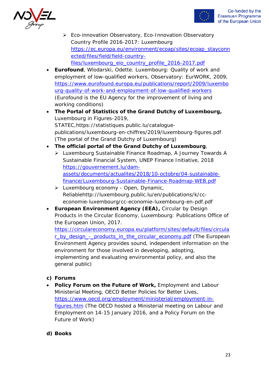



- ▶ Eco-innovation Observatory, Eco-Innovation Observatory Country Profile 2016-2017: Luxembourg [https://ec.europa.eu/environment/ecoap/sites/ecoap\\_stayconn](https://ec.europa.eu/environment/ecoap/sites/ecoap_stayconnected/files/field/field-country-files/luxembourg_eio_country_profile_2016-2017.pdf) [ected/files/field/field-country](https://ec.europa.eu/environment/ecoap/sites/ecoap_stayconnected/files/field/field-country-files/luxembourg_eio_country_profile_2016-2017.pdf)[files/luxembourg\\_eio\\_country\\_profile\\_2016-2017.pdf](https://ec.europa.eu/environment/ecoap/sites/ecoap_stayconnected/files/field/field-country-files/luxembourg_eio_country_profile_2016-2017.pdf)
- **Eurofound**, Wlodarski, Odette. Luxembourg: Quality of work and employment of low-qualified workers, Observatory: EurWORK, 2009, [https://www.eurofound.europa.eu/publications/report/2009/luxembo](https://www.eurofound.europa.eu/publications/report/2009/luxembourg-quality-of-work-and-employment-of-low-qualified-workers) [urg-quality-of-work-and-employment-of-low-qualified-workers](https://www.eurofound.europa.eu/publications/report/2009/luxembourg-quality-of-work-and-employment-of-low-qualified-workers) (Eurofound is the EU Agency for the improvement of living and working conditions)
- **The Portal of Statistics of the Grand Dutchy of Luxembourg,** Luxembourg in Figures-2019, STATEC,https://statistiques.public.lu/cataloguepublications/luxembourg-en-chiffres/2019/luxembourg-figures.pdf (The portal of the Grand Dutchy of Luxembourg)
- **The official portal of the Grand Dutchy of Luxembourg**,
	- Luxembourg Sustainable Finance Roadmap, A Journey Towards A Sustainable Financial System, UNEP Finance Initiative, 2018 [https://gouvernement.lu/dam](https://gouvernement.lu/dam-assets/documents/actualites/2018/10-octobre/04-sustainable-finance/Luxembourg-Sustainable-Finance-Roadmap-WEB.pdf)[assets/documents/actualites/2018/10-octobre/04-sustainable](https://gouvernement.lu/dam-assets/documents/actualites/2018/10-octobre/04-sustainable-finance/Luxembourg-Sustainable-Finance-Roadmap-WEB.pdf)[finance/Luxembourg-Sustainable-Finance-Roadmap-WEB.pdf](https://gouvernement.lu/dam-assets/documents/actualites/2018/10-octobre/04-sustainable-finance/Luxembourg-Sustainable-Finance-Roadmap-WEB.pdf)
	- $\triangleright$  Luxembourg economy Open, Dynamic, Reliablehttp://luxembourg.public.lu/en/publications/k/cceconomie-luxembourg/cc-economie-luxembourg-en-pdf.pdf
- **European Environment Agency (EEA), Circular by Design** Products in the Circular Economy, Luxembourg: Publications Office of the European Union, 2017.

[https://circulareconomy.europa.eu/platform/sites/default/files/circula](https://circulareconomy.europa.eu/platform/sites/default/files/circular_by_design_-_products_in_the_circular_economy.pdf) [r\\_by\\_design\\_-\\_products\\_in\\_the\\_circular\\_economy.pdf](https://circulareconomy.europa.eu/platform/sites/default/files/circular_by_design_-_products_in_the_circular_economy.pdf) (The European Environment Agency provides sound, independent information on the environment for those involved in developing, adopting, implementing and evaluating environmental policy, and also the general public)

### **c) Forums**

• **Policy Forum on the Future of Work,** Employment and Labour Ministerial Meeting, OECD Better Policies for Better Lives, [https://www.oecd.org/employment/ministerial/employment-in](https://www.oecd.org/employment/ministerial/employment-in-figures.htm)[figures.htm](https://www.oecd.org/employment/ministerial/employment-in-figures.htm) (The OECD hosted a Ministerial meeting on Labour and Employment on 14-15 January 2016, and a Policy Forum on the Future of Work)

#### **d) Books**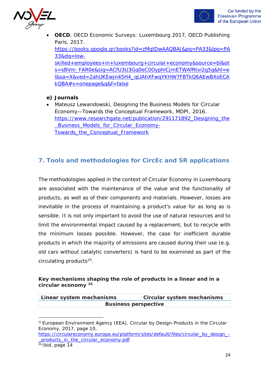

- **OECD**, OECD Economic Surveys: Luxembourg 2017, OECD Publishing Paris, 2017. [https://books.google.gr/books?id=zMgtDwAAQBAJ&pg=PA33&lpg=PA](https://books.google.gr/books?id=zMgtDwAAQBAJ&pg=PA33&lpg=PA33&dq=low-skilled+employees+in+luxembourg+circular+economy&source=bl&ots=sBVm_FAR0e&sig=ACfU3U3Gq0eC0OyphlCjmETWAfRtvi2g5g&hl=el&sa=X&ved=2ahUKEwjn45H4_qLlAhXFwqYKHW7FBTkQ6AEwBXoECAkQBA#v=onepage&q&f=false) [33&dq=low](https://books.google.gr/books?id=zMgtDwAAQBAJ&pg=PA33&lpg=PA33&dq=low-skilled+employees+in+luxembourg+circular+economy&source=bl&ots=sBVm_FAR0e&sig=ACfU3U3Gq0eC0OyphlCjmETWAfRtvi2g5g&hl=el&sa=X&ved=2ahUKEwjn45H4_qLlAhXFwqYKHW7FBTkQ6AEwBXoECAkQBA#v=onepage&q&f=false)[skilled+employees+in+luxembourg+circular+economy&source=bl&ot](https://books.google.gr/books?id=zMgtDwAAQBAJ&pg=PA33&lpg=PA33&dq=low-skilled+employees+in+luxembourg+circular+economy&source=bl&ots=sBVm_FAR0e&sig=ACfU3U3Gq0eC0OyphlCjmETWAfRtvi2g5g&hl=el&sa=X&ved=2ahUKEwjn45H4_qLlAhXFwqYKHW7FBTkQ6AEwBXoECAkQBA#v=onepage&q&f=false) [s=sBVm\\_FAR0e&sig=ACfU3U3Gq0eC0OyphlCjmETWAfRtvi2g5g&hl=e](https://books.google.gr/books?id=zMgtDwAAQBAJ&pg=PA33&lpg=PA33&dq=low-skilled+employees+in+luxembourg+circular+economy&source=bl&ots=sBVm_FAR0e&sig=ACfU3U3Gq0eC0OyphlCjmETWAfRtvi2g5g&hl=el&sa=X&ved=2ahUKEwjn45H4_qLlAhXFwqYKHW7FBTkQ6AEwBXoECAkQBA#v=onepage&q&f=false) [l&sa=X&ved=2ahUKEwjn45H4\\_qLlAhXFwqYKHW7FBTkQ6AEwBXoECA](https://books.google.gr/books?id=zMgtDwAAQBAJ&pg=PA33&lpg=PA33&dq=low-skilled+employees+in+luxembourg+circular+economy&source=bl&ots=sBVm_FAR0e&sig=ACfU3U3Gq0eC0OyphlCjmETWAfRtvi2g5g&hl=el&sa=X&ved=2ahUKEwjn45H4_qLlAhXFwqYKHW7FBTkQ6AEwBXoECAkQBA#v=onepage&q&f=false) [kQBA#v=onepage&q&f=false](https://books.google.gr/books?id=zMgtDwAAQBAJ&pg=PA33&lpg=PA33&dq=low-skilled+employees+in+luxembourg+circular+economy&source=bl&ots=sBVm_FAR0e&sig=ACfU3U3Gq0eC0OyphlCjmETWAfRtvi2g5g&hl=el&sa=X&ved=2ahUKEwjn45H4_qLlAhXFwqYKHW7FBTkQ6AEwBXoECAkQBA#v=onepage&q&f=false)
- **e) Journals**
- Mateusz Lewandowski, Designing the Business Models for Circular Economy—Towards the Conceptual Framework, MDPI, 2016. https://www.researchgate.net/publication/291171892 Designing the Business Models for Circular Economy-[Towards\\_the\\_Conceptual\\_Framework](https://www.researchgate.net/publication/291171892_Designing_the_Business_Models_for_Circular_Economy-Towards_the_Conceptual_Framework)

## **7. Tools and methodologies for CircEc and SR applications**

The methodologies applied in the context of Circular Economy in Luxembourg are associated with the maintenance of the value and the functionality of products, as well as of their components and materials. However, losses are inevitable in the process of maintaining a product's value for as long as is sensible. It is not only important to avoid the use of natural resources and to limit the environmental impact caused by a replacement, but to recycle with the minimum losses possible. However, the case for inefficient durable products in which the majority of emissions are caused during their use (e.g. old cars without catalytic converters) is hard to be examined as part of the circulating products<sup>[25](#page-23-0)</sup>.

#### **Key mechanisms shaping the role of products in a linear and in a circular economy [26](#page-23-1)**

| Linear system mechanisms    | <b>Circular system mechanisms</b> |  |
|-----------------------------|-----------------------------------|--|
| <b>Business perspective</b> |                                   |  |

<span id="page-23-0"></span> $25$  European Environment Agency (EEA), Circular by Design-Products in the Circular Economy, 2017, page 10,

[https://circulareconomy.europa.eu/platform/sites/default/files/circular\\_by\\_design\\_-](https://circulareconomy.europa.eu/platform/sites/default/files/circular_by_design_-_products_in_the_circular_economy.pdf) [\\_products\\_in\\_the\\_circular\\_economy.pdf](https://circulareconomy.europa.eu/platform/sites/default/files/circular_by_design_-_products_in_the_circular_economy.pdf)

<span id="page-23-1"></span> $26$  Ibid, page 14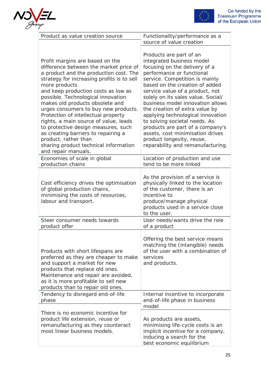



| Product as value creation source                                                                                                                                                                                                                                                                                                                                                                                                                                                                                                                                                                 | Functionality/performance as a<br>source of value creation                                                                                                                                                                                                                                                                                                                                                                                                                                                                                            |
|--------------------------------------------------------------------------------------------------------------------------------------------------------------------------------------------------------------------------------------------------------------------------------------------------------------------------------------------------------------------------------------------------------------------------------------------------------------------------------------------------------------------------------------------------------------------------------------------------|-------------------------------------------------------------------------------------------------------------------------------------------------------------------------------------------------------------------------------------------------------------------------------------------------------------------------------------------------------------------------------------------------------------------------------------------------------------------------------------------------------------------------------------------------------|
| Profit margins are based on the<br>difference between the market price of<br>a product and the production cost. The<br>strategy for increasing profits is to sell<br>more products<br>and keep production costs as low as<br>possible. Technological innovation<br>makes old products obsolete and<br>urges consumers to buy new products.<br>Protection of intellectual property<br>rights, a main source of value, leads<br>to protective design measures, such<br>as creating barriers to repairing a<br>product, rather than<br>sharing product technical information<br>and repair manuals. | Products are part of an<br>integrated business model<br>focusing on the delivery of a<br>performance or functional<br>service. Competition is mainly<br>based on the creation of added<br>service value of a product, not<br>solely on its sales value. Social/<br>business model innovation allows<br>the creation of extra value by<br>applying technological innovation<br>to solving societal needs. As<br>products are part of a company's<br>assets, cost minimisation drives<br>product longevity, reuse,<br>reparability and remanufacturing. |
| Economies of scale in global<br>production chains                                                                                                                                                                                                                                                                                                                                                                                                                                                                                                                                                | Location of production and use<br>tend to be more linked                                                                                                                                                                                                                                                                                                                                                                                                                                                                                              |
| Cost efficiency drives the optimisation<br>of global production chains,<br>minimising the costs of resources,<br>labour and transport.                                                                                                                                                                                                                                                                                                                                                                                                                                                           | As the provision of a service is<br>physically linked to the location<br>of the customer, there is an<br>incentive to<br>produce/manage physical<br>products used in a service close<br>to the user.                                                                                                                                                                                                                                                                                                                                                  |
| Steer consumer needs towards<br>product offer                                                                                                                                                                                                                                                                                                                                                                                                                                                                                                                                                    | User needs/wants drive the role<br>of a product                                                                                                                                                                                                                                                                                                                                                                                                                                                                                                       |
| Products with short lifespans are<br>preferred as they are cheaper to make<br>and support a market for new<br>products that replace old ones.<br>Maintenance and repair are avoided,<br>as it is more profitable to sell new<br>products than to repair old ones.                                                                                                                                                                                                                                                                                                                                | Offering the best service means<br>matching the (intangible) needs<br>of the user with a combination of<br>services<br>and products.                                                                                                                                                                                                                                                                                                                                                                                                                  |
| Tendency to disregard end-of-life<br>phase                                                                                                                                                                                                                                                                                                                                                                                                                                                                                                                                                       | Internal incentive to incorporate<br>end-of-life phase in business<br>model                                                                                                                                                                                                                                                                                                                                                                                                                                                                           |
| There is no economic incentive for<br>product life extension, reuse or<br>remanufacturing as they counteract<br>most linear business models.                                                                                                                                                                                                                                                                                                                                                                                                                                                     | As products are assets,<br>minimising life-cycle costs is an<br>implicit incentive for a company,<br>inducing a search for the<br>best economic equilibrium                                                                                                                                                                                                                                                                                                                                                                                           |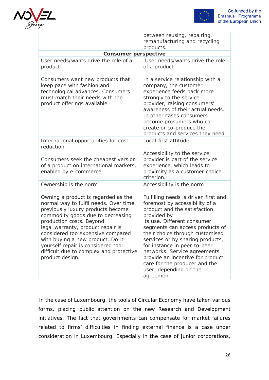



|                                                                                                                                                                                                                                                                                                                                                                                                       | between reusing, repairing,<br>remanufacturing and recycling<br>products.                                                                                                                                                                                                                                                                                                                                                                   |
|-------------------------------------------------------------------------------------------------------------------------------------------------------------------------------------------------------------------------------------------------------------------------------------------------------------------------------------------------------------------------------------------------------|---------------------------------------------------------------------------------------------------------------------------------------------------------------------------------------------------------------------------------------------------------------------------------------------------------------------------------------------------------------------------------------------------------------------------------------------|
| <b>Consumer perspective</b>                                                                                                                                                                                                                                                                                                                                                                           |                                                                                                                                                                                                                                                                                                                                                                                                                                             |
| User needs/wants drive the role of a<br>product                                                                                                                                                                                                                                                                                                                                                       | User needs/wants drive the role<br>of a product                                                                                                                                                                                                                                                                                                                                                                                             |
| Consumers want new products that<br>keep pace with fashion and<br>technological advances. Consumers<br>must match their needs with the<br>product offerings available.                                                                                                                                                                                                                                | In a service relationship with a<br>company, the customer<br>experience feeds back more<br>strongly to the service<br>provider, raising consumers'<br>awareness of their actual needs.<br>In other cases consumers<br>become prosumers who co-<br>create or co-produce the<br>products and services they need.                                                                                                                              |
| International opportunities for cost<br>reduction                                                                                                                                                                                                                                                                                                                                                     | Local-first attitude                                                                                                                                                                                                                                                                                                                                                                                                                        |
| Consumers seek the cheapest version<br>of a product on international markets,<br>enabled by e-commerce.                                                                                                                                                                                                                                                                                               | Accessibility to the service<br>provider is part of the service<br>experience, which leads to<br>proximity as a customer choice<br>criterion.                                                                                                                                                                                                                                                                                               |
| Ownership is the norm                                                                                                                                                                                                                                                                                                                                                                                 | Accessibility is the norm                                                                                                                                                                                                                                                                                                                                                                                                                   |
| Owning a product is regarded as the<br>normal way to fulfil needs. Over time,<br>previously luxury products become<br>commodity goods due to decreasing<br>production costs. Beyond<br>legal warranty, product repair is<br>considered too expensive compared<br>with buying a new product. Do-it-<br>yourself repair is considered too<br>difficult due to complex and protective<br>product design. | Fulfilling needs is driven first and<br>foremost by accessibility of a<br>product and the satisfaction<br>provided by<br>its use. Different consumer<br>segments can access products of<br>their choice through customised<br>services or by sharing products,<br>for instance in peer-to-peer<br>networks. Service agreements<br>provide an incentive for product<br>care for the producer and the<br>user, depending on the<br>agreement. |

In the case of Luxembourg, the tools of Circular Economy have taken various forms, placing public attention on the new Research and Development initiatives. The fact that governments can compensate for market failures related to firms' difficulties in finding external finance is a case under consideration in Luxembourg. Especially in the case of junior corporations,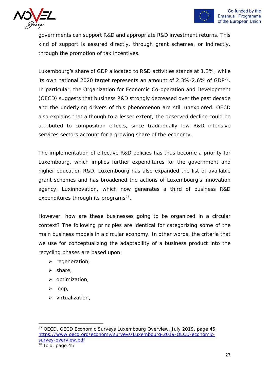

governments can support R&D and appropriate R&D investment returns. This kind of support is assured directly, through grant schemes, or indirectly, through the promotion of tax incentives.

Luxembourg's share of GDP allocated to R&D activities stands at 1.3%, while its own national 2020 target represents an amount of 2.3%-2.6% of GDP<sup>27</sup>. In particular, the Organization for Economic Co-operation and Development (OECD) suggests that business R&D strongly decreased over the past decade and the underlying drivers of this phenomenon are still unexplored. OECD also explains that although to a lesser extent, the observed decline could be attributed to composition effects, since traditionally low R&D intensive services sectors account for a growing share of the economy.

The implementation of effective R&D policies has thus become a priority for Luxembourg, which implies further expenditures for the government and higher education R&D. Luxembourg has also expanded the list of available grant schemes and has broadened the actions of Luxembourg's innovation agency, Luxinnovation, which now generates a third of business R&D expenditures through its programs<sup>[28](#page-26-1)</sup>.

However, how are these businesses going to be organized in a circular context? The following principles are identical for categorizing some of the main business models in a circular economy. In other words, the criteria that we use for conceptualizing the adaptability of a business product into the recycling phases are based upon:

- $\triangleright$  regeneration,
- $\triangleright$  share,
- $\triangleright$  optimization,
- $\triangleright$  loop,
- $\triangleright$  virtualization,

<span id="page-26-1"></span><span id="page-26-0"></span><sup>&</sup>lt;sup>27</sup> OECD, OECD Economic Surveys Luxembourg Overview, July 2019, page 45, [https://www.oecd.org/economy/surveys/Luxembourg-2019-OECD-economic](https://www.oecd.org/economy/surveys/Luxembourg-2019-OECD-economic-survey-overview.pdf)[survey-overview.pdf](https://www.oecd.org/economy/surveys/Luxembourg-2019-OECD-economic-survey-overview.pdf)  $28$  Ibid, page 45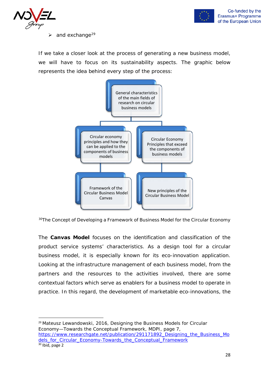



 $\geq$  and exchange<sup>[29](#page-27-0)</sup>

If we take a closer look at the process of generating a new business model, we will have to focus on its sustainability aspects. The graphic below represents the idea behind every step of the process:



 $30$ The Concept of Developing a Framework of Business Model for the Circular Economy

The **Canvas Model** focuses on the identification and classification of the product service systems' characteristics. As a design tool for a circular business model, it is especially known for its eco-innovation application. Looking at the infrastructure management of each business model, from the partners and the resources to the activities involved, there are some contextual factors which serve as enablers for a business model to operate in practice. In this regard, the development of marketable eco-innovations, the

<span id="page-27-1"></span><span id="page-27-0"></span><sup>29</sup> Mateusz Lewandowski, 2016, Designing the Business Models for Circular Economy—Towards the Conceptual Framework, MDPI, page 7, [https://www.researchgate.net/publication/291171892\\_Designing\\_the\\_Business\\_Mo](https://www.researchgate.net/publication/291171892_Designing_the_Business_Models_for_Circular_Economy-Towards_the_Conceptual_Framework) dels for Circular Economy-Towards the Conceptual Framework  $30$  Ibid, page 2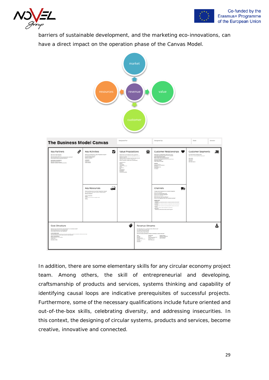



barriers of sustainable development, and the marketing eco-innovations, can have a direct impact on the operation phase of the Canvas Model.



In addition, there are some elementary skills for any circular economy project team. Among others, the skill of entrepreneurial and developing, craftsmanship of products and services, systems thinking and capability of identifying causal loops are indicative prerequisites of successful projects. Furthermore, some of the necessary qualifications include future oriented and out-of-the-box skills, celebrating diversity, and addressing insecurities. In this context, the designing of circular systems, products and services, become creative, innovative and connected.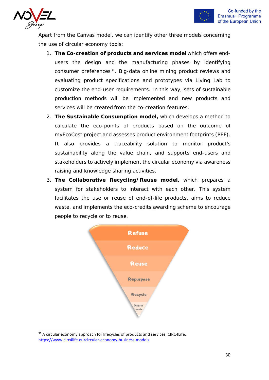



Apart from the Canvas model, we can identify other three models concerning the use of circular economy tools:

- 1. **The Co-creation of products and services model** which offers endusers the design and the manufacturing phases by identifying consumer preferences<sup>[31](#page-29-0)</sup>. Big-data online mining product reviews and evaluating product specifications and prototypes via Living Lab to customize the end-user requirements. In this way, sets of sustainable production methods will be implemented and new products and services will be created from the co-creation features.
- 2. **The Sustainable Consumption model,** which develops a method to calculate the eco-points of products based on the outcome of myEcoCost project and assesses product environment footprints (PEF). It also provides a traceability solution to monitor product's sustainability along the value chain, and supports end-users and stakeholders to actively implement the circular economy via awareness raising and knowledge sharing activities.
- 3. **The Collaborative Recycling/Reuse model,** which prepares a system for stakeholders to interact with each other. This system facilitates the use or reuse of end-of-life products, aims to reduce waste, and implements the eco-credits awarding scheme to encourage people to recycle or to reuse.



<span id="page-29-0"></span> $31$  A circular economy approach for lifecycles of products and services, CIRC4Life, <https://www.circ4life.eu/circular-economy-business-models>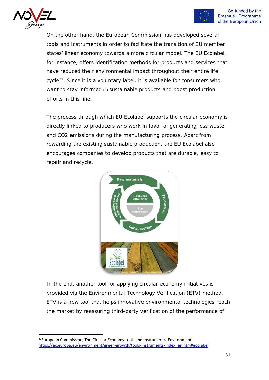



On the other hand, the European Commission has developed several tools and instruments in order to facilitate the transition of EU member states' linear economy towards a more circular model. The EU Ecolabel, for instance, offers identification methods for products and services that have reduced their environmental impact throughout their entire life cycle<sup>[32](#page-30-0)</sup>. Since it is a voluntary label, it is available for consumers who want to stay informed on sustainable products and boost production efforts in this line.

The process through which EU Ecolabel supports the circular economy is directly linked to producers who work in favor of generating less waste and CO2 emissions during the manufacturing process. Apart from rewarding the existing sustainable production, the EU Ecolabel also encourages companies to develop products that are durable, easy to repair and recycle.



In the end, another tool for applying circular economy initiatives is provided via the Environmental Technology Verification (ETV) method. ETV is a new tool that helps innovative environmental technologies reach the market by reassuring third-party verification of the performance of

<span id="page-30-0"></span><sup>&</sup>lt;sup>32</sup>European Commission, The Circular Economy tools and instruments, Environment, [https://ec.europa.eu/environment/green-growth/tools-instruments/index\\_en.htm#ecolabel](https://ec.europa.eu/environment/green-growth/tools-instruments/index_en.htm#ecolabel)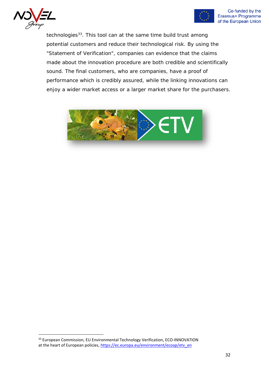



technologies<sup>33</sup>. This tool can at the same time build trust among potential customers and reduce their technological risk. By using the "Statement of Verification", companies can evidence that the claims made about the innovation procedure are both credible and scientifically sound. The final customers, who are companies, have a proof of performance which is credibly assured, while the linking innovations can enjoy a wider market access or a larger market share for the purchasers.



<span id="page-31-0"></span><sup>33</sup> European Commission, EU Environmental Technology Verification, ECO-INNOVATION at the heart of European policies[, https://ec.europa.eu/environment/ecoap/etv\\_en](https://ec.europa.eu/environment/ecoap/etv_en)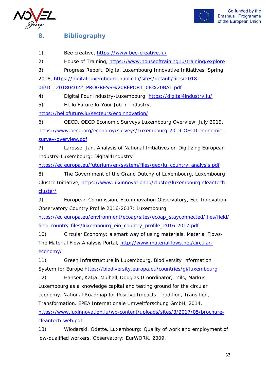



### **8. Bibliography**

1) Bee creative,<https://www.bee-creative.lu/>

2) House of Training,<https://www.houseoftraining.lu/training/explore>

3) Progress Report, Digital Luxembourg Innovative Initiatives, Spring 2018, [https://digital-luxembourg.public.lu/sites/default/files/2018-](https://digital-luxembourg.public.lu/sites/default/files/2018-06/DL_201804022_PROGRESS%20REPORT_08%20BAT.pdf)

[06/DL\\_201804022\\_PROGRESS%20REPORT\\_08%20BAT.pdf](https://digital-luxembourg.public.lu/sites/default/files/2018-06/DL_201804022_PROGRESS%20REPORT_08%20BAT.pdf)

4) Digital Four Industry-Luxembourg,<https://digital4industry.lu/>

5) Hello Future.lu-Your Job in Industry,

<https://hellofuture.lu/secteurs/ecoinnovation/>

6) OECD, OECD Economic Surveys Luxembourg Overview, July 2019, [https://www.oecd.org/economy/surveys/Luxembourg-2019-OECD-economic](https://www.oecd.org/economy/surveys/Luxembourg-2019-OECD-economic-survey-overview.pdf)[survey-overview.pdf](https://www.oecd.org/economy/surveys/Luxembourg-2019-OECD-economic-survey-overview.pdf)

7) Larosse, Jan. Analysis of National Initiatives on Digitizing European Industry-Luxembourg: Digital4Industry

[https://ec.europa.eu/futurium/en/system/files/ged/lu\\_country\\_analysis.pdf](https://ec.europa.eu/futurium/en/system/files/ged/lu_country_analysis.pdf)

8) The Government of the Grand Dutchy of Luxembourg, Luxembourg Cluster Initiative, [https://www.luxinnovation.lu/cluster/luxembourg-cleantech](https://www.luxinnovation.lu/cluster/luxembourg-cleantech-cluster/)[cluster/](https://www.luxinnovation.lu/cluster/luxembourg-cleantech-cluster/)

9) European Commission, Eco-innovation Observatory, Eco-Innovation Observatory Country Profile 2016-2017: Luxembourg

[https://ec.europa.eu/environment/ecoap/sites/ecoap\\_stayconnected/files/field/](https://ec.europa.eu/environment/ecoap/sites/ecoap_stayconnected/files/field/field-country-files/luxembourg_eio_country_profile_2016-2017.pdf) [field-country-files/luxembourg\\_eio\\_country\\_profile\\_2016-2017.pdf](https://ec.europa.eu/environment/ecoap/sites/ecoap_stayconnected/files/field/field-country-files/luxembourg_eio_country_profile_2016-2017.pdf)

10) Circular Economy: a smart way of using materials, Material Flows-The Material Flow Analysis Portal, [http://www.materialflows.net/circular](http://www.materialflows.net/circular-economy/)[economy/](http://www.materialflows.net/circular-economy/)

11) Green Infrastructure in Luxembourg, Biodiversity Information System for Europe<https://biodiversity.europa.eu/countries/gi/luxembourg>

12) Hansen, Katja. Mulhall, Douglas (Coordinator). Zils, Markus. Luxembourg as a knowledge capital and testing ground for the circular economy. National Roadmap for Positive Impacts. Tradition, Transition, Transformation. EPEA Internationale Umweltforschung GmbH, 2014,

[https://www.luxinnovation.lu/wp-content/uploads/sites/3/2017/05/brochure](https://www.luxinnovation.lu/wp-content/uploads/sites/3/2017/05/brochure-cleantech-web.pdf)[cleantech-web.pdf](https://www.luxinnovation.lu/wp-content/uploads/sites/3/2017/05/brochure-cleantech-web.pdf)

13) Wlodarski, Odette. Luxembourg: Quality of work and employment of low-qualified workers, Observatory: EurWORK, 2009,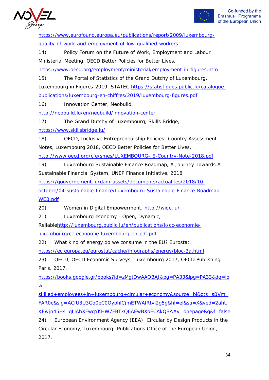



[https://www.eurofound.europa.eu/publications/report/2009/luxembourg](https://www.eurofound.europa.eu/publications/report/2009/luxembourg-quality-of-work-and-employment-of-low-qualified-workers)[quality-of-work-and-employment-of-low-qualified-workers](https://www.eurofound.europa.eu/publications/report/2009/luxembourg-quality-of-work-and-employment-of-low-qualified-workers)

14) Policy Forum on the Future of Work, Employment and Labour Ministerial Meeting, OECD Better Policies for Better Lives,

<https://www.oecd.org/employment/ministerial/employment-in-figures.htm>

15) The Portal of Statistics of the Grand Dutchy of Luxembourg,

Luxembourg in Figures-2019, STATEC[,https://statistiques.public.lu/catalogue](https://statistiques.public.lu/catalogue-publications/luxembourg-en-chiffres/2019/luxembourg-figures.pdf)[publications/luxembourg-en-chiffres/2019/luxembourg-figures.pdf](https://statistiques.public.lu/catalogue-publications/luxembourg-en-chiffres/2019/luxembourg-figures.pdf)

16) Innovation Center, Neobuild,

<http://neobuild.lu/en/neobuild/innovation-center>

17) The Grand Dutchy of Luxembourg, Skills Bridge,

<https://www.skillsbridge.lu/>

18) OECD, Inclusive Entrepreneurship Policies: Country Assessment Notes, Luxembourg 2018, OECD Better Policies for Better Lives,

<http://www.oecd.org/cfe/smes/LUXEMBOURG-IE-Country-Note-2018.pdf>

19) Luxembourg Sustainable Finance Roadmap, A Journey Towards A Sustainable Financial System, UNEP Finance Initiative, 2018

[https://gouvernement.lu/dam-assets/documents/actualites/2018/10-](https://gouvernement.lu/dam-assets/documents/actualites/2018/10-octobre/04-sustainable-finance/Luxembourg-Sustainable-Finance-Roadmap-WEB.pdf)

[octobre/04-sustainable-finance/Luxembourg-Sustainable-Finance-Roadmap-](https://gouvernement.lu/dam-assets/documents/actualites/2018/10-octobre/04-sustainable-finance/Luxembourg-Sustainable-Finance-Roadmap-WEB.pdf)[WEB.pdf](https://gouvernement.lu/dam-assets/documents/actualites/2018/10-octobre/04-sustainable-finance/Luxembourg-Sustainable-Finance-Roadmap-WEB.pdf)

20) Women in Digital Empowerment,<http://wide.lu/>

21) Luxembourg economy - Open, Dynamic,

Reliabl[ehttp://luxembourg.public.lu/en/publications/k/cc-economie](http://luxembourg.public.lu/en/publications/k/cc-economie-luxembourg/cc-economie-luxembourg-en-pdf.pdf)[luxembourg/cc-economie-luxembourg-en-pdf.pdf](http://luxembourg.public.lu/en/publications/k/cc-economie-luxembourg/cc-economie-luxembourg-en-pdf.pdf)

22) What kind of energy do we consume in the EU? Eurostat,

<https://ec.europa.eu/eurostat/cache/infographs/energy/bloc-3a.html>

23) OECD, OECD Economic Surveys: Luxembourg 2017, OECD Publishing Paris, 2017.

[https://books.google.gr/books?id=zMgtDwAAQBAJ&pg=PA33&lpg=PA33&dq=lo](https://books.google.gr/books?id=zMgtDwAAQBAJ&pg=PA33&lpg=PA33&dq=low-skilled+employees+in+luxembourg+circular+economy&source=bl&ots=sBVm_FAR0e&sig=ACfU3U3Gq0eC0OyphlCjmETWAfRtvi2g5g&hl=el&sa=X&ved=2ahUKEwjn45H4_qLlAhXFwqYKHW7FBTkQ6AEwBXoECAkQBA#v=onepage&q&f=false)  $W-$ 

[skilled+employees+in+luxembourg+circular+economy&source=bl&ots=sBVm\\_](https://books.google.gr/books?id=zMgtDwAAQBAJ&pg=PA33&lpg=PA33&dq=low-skilled+employees+in+luxembourg+circular+economy&source=bl&ots=sBVm_FAR0e&sig=ACfU3U3Gq0eC0OyphlCjmETWAfRtvi2g5g&hl=el&sa=X&ved=2ahUKEwjn45H4_qLlAhXFwqYKHW7FBTkQ6AEwBXoECAkQBA#v=onepage&q&f=false) [FAR0e&sig=ACfU3U3Gq0eC0OyphlCjmETWAfRtvi2g5g&hl=el&sa=X&ved=2ahU](https://books.google.gr/books?id=zMgtDwAAQBAJ&pg=PA33&lpg=PA33&dq=low-skilled+employees+in+luxembourg+circular+economy&source=bl&ots=sBVm_FAR0e&sig=ACfU3U3Gq0eC0OyphlCjmETWAfRtvi2g5g&hl=el&sa=X&ved=2ahUKEwjn45H4_qLlAhXFwqYKHW7FBTkQ6AEwBXoECAkQBA#v=onepage&q&f=false) [KEwjn45H4\\_qLlAhXFwqYKHW7FBTkQ6AEwBXoECAkQBA#v=onepage&q&f=false](https://books.google.gr/books?id=zMgtDwAAQBAJ&pg=PA33&lpg=PA33&dq=low-skilled+employees+in+luxembourg+circular+economy&source=bl&ots=sBVm_FAR0e&sig=ACfU3U3Gq0eC0OyphlCjmETWAfRtvi2g5g&hl=el&sa=X&ved=2ahUKEwjn45H4_qLlAhXFwqYKHW7FBTkQ6AEwBXoECAkQBA#v=onepage&q&f=false)

24) European Environment Agency (EEA), Circular by Design Products in the Circular Economy, Luxembourg: Publications Office of the European Union, 2017.